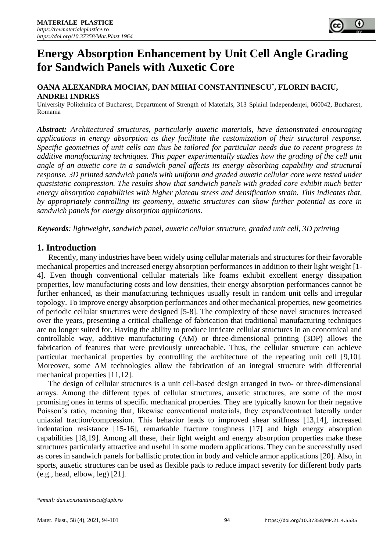# **Energy Absorption Enhancement by Unit Cell Angle Grading for Sandwich Panels with Auxetic Core**

# **OANA ALEXANDRA MOCIAN, DAN MIHAI CONSTANTINESCU\* , FLORIN BACIU, ANDREI INDRES**

University Politehnica of Bucharest, Department of Strength of Materials, 313 Splaiul Independenței, 060042, Bucharest, Romania

*Abstract: Architectured structures, particularly auxetic materials, have demonstrated encouraging applications in energy absorption as they facilitate the customization of their structural response. Specific geometries of unit cells can thus be tailored for particular needs due to recent progress in additive manufacturing techniques. This paper experimentally studies how the grading of the cell unit angle of an auxetic core in a sandwich panel affects its energy absorbing capability and structural response. 3D printed sandwich panels with uniform and graded auxetic cellular core were tested under quasistatic compression. The results show that sandwich panels with graded core exhibit much better energy absorption capabilities with higher plateau stress and densification strain. This indicates that, by appropriately controlling its geometry, auxetic structures can show further potential as core in sandwich panels for energy absorption applications.* 

*Keywords: lightweight, sandwich panel, auxetic cellular structure, graded unit cell, 3D printing*

# **1. Introduction**

Recently, many industries have been widely using cellular materials and structures for their favorable mechanical properties and increased energy absorption performances in addition to their light weight [1- 4]. Even though conventional cellular materials like foams exhibit excellent energy dissipation properties, low manufacturing costs and low densities, their energy absorption performances cannot be further enhanced, as their manufacturing techniques usually result in random unit cells and irregular topology. To improve energy absorption performances and other mechanical properties, new geometries of periodic cellular structures were designed [5-8]. The complexity of these novel structures increased over the years, presenting a critical challenge of fabrication that traditional manufacturing techniques are no longer suited for. Having the ability to produce intricate cellular structures in an economical and controllable way, additive manufacturing (AM) or three-dimensional printing (3DP) allows the fabrication of features that were previously unreachable. Thus, the cellular structure can achieve particular mechanical properties by controlling the architecture of the repeating unit cell [9,10]. Moreover, some AM technologies allow the fabrication of an integral structure with differential mechanical properties [11,12].

The design of cellular structures is a unit cell-based design arranged in two- or three-dimensional arrays. Among the different types of cellular structures, auxetic structures, are some of the most promising ones in terms of specific mechanical properties. They are typically known for their negative Poisson's ratio, meaning that, likewise conventional materials, they expand/contract laterally under uniaxial traction/compression. This behavior leads to improved shear stiffness [13,14], increased indentation resistance [15-16], remarkable fracture toughness [17] and high energy absorption capabilities [18,19]. Among all these, their light weight and energy absorption properties make these structures particularly attractive and useful in some modern applications. They can be successfully used as cores in sandwich panels for ballistic protection in body and vehicle armor applications [20]. Also, in sports, auxetic structures can be used as flexible pads to reduce impact severity for different body parts (e.g., head, elbow, leg) [21].

*<sup>\*</sup>email: dan.constantinescu@upb.ro*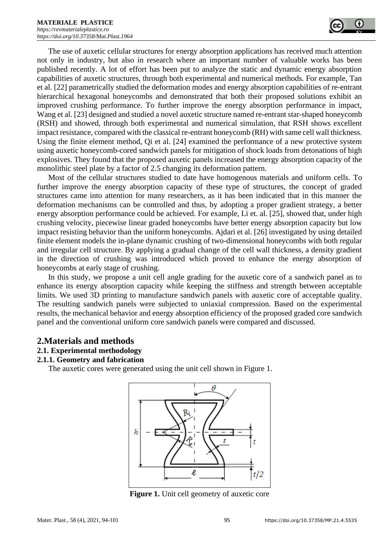

The use of auxetic cellular structures for energy absorption applications has received much attention not only in industry, but also in research where an important number of valuable works has been published recently. A lot of effort has been put to analyze the static and dynamic energy absorption capabilities of auxetic structures, through both experimental and numerical methods. For example, Tan et al. [22] parametrically studied the deformation modes and energy absorption capabilities of re-entrant hierarchical hexagonal honeycombs and demonstrated that both their proposed solutions exhibit an improved crushing performance. To further improve the energy absorption performance in impact, Wang et al. [23] designed and studied a novel auxetic structure named re-entrant star-shaped honeycomb (RSH) and showed, through both experimental and numerical simulation, that RSH shows excellent impact resistance, compared with the classical re-entrant honeycomb (RH) with same cell wall thickness. Using the finite element method, Qi et al. [24] examined the performance of a new protective system using auxetic honeycomb-cored sandwich panels for mitigation of shock loads from detonations of high explosives. They found that the proposed auxetic panels increased the energy absorption capacity of the monolithic steel plate by a factor of 2.5 changing its deformation pattern.

Most of the cellular structures studied to date have homogenous materials and uniform cells. To further improve the energy absorption capacity of these type of structures, the concept of graded structures came into attention for many researchers, as it has been indicated that in this manner the deformation mechanisms can be controlled and thus, by adopting a proper gradient strategy, a better energy absorption performance could be achieved. For example, Li et. al. [25], showed that, under high crushing velocity, piecewise linear graded honeycombs have better energy absorption capacity but low impact resisting behavior than the uniform honeycombs. Ajdari et al. [26] investigated by using detailed finite element models the in-plane dynamic crushing of two-dimensional honeycombs with both regular and irregular cell structure. By applying a gradual change of the cell wall thickness, a density gradient in the direction of crushing was introduced which proved to enhance the energy absorption of honeycombs at early stage of crushing.

In this study, we propose a unit cell angle grading for the auxetic core of a sandwich panel as to enhance its energy absorption capacity while keeping the stiffness and strength between acceptable limits. We used 3D printing to manufacture sandwich panels with auxetic core of acceptable quality. The resulting sandwich panels were subjected to uniaxial compression. Based on the experimental results, the mechanical behavior and energy absorption efficiency of the proposed graded core sandwich panel and the conventional uniform core sandwich panels were compared and discussed.

#### **2.Materials and methods**

#### **2.1. Experimental methodology**

#### **2.1.1. Geometry and fabrication**

The auxetic cores were generated using the unit cell shown in Figure 1.



**Figure 1.** Unit cell geometry of auxetic core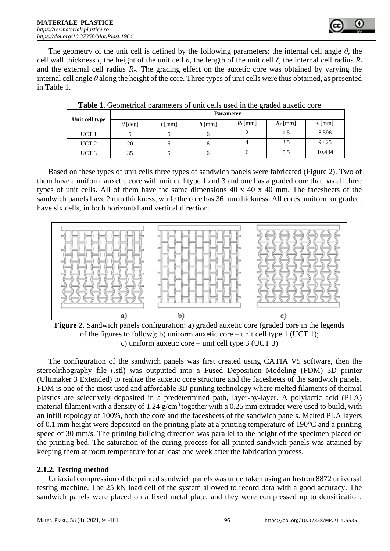

The geometry of the unit cell is defined by the following parameters: the internal cell angle *θ*, the cell wall thickness *t*, the height of the unit cell *h*, the length of the unit cell  $\ell$ , the internal cell radius  $R_i$ and the external cell radius  $R_e$ . The grading effect on the auxetic core was obtained by varying the internal cell angle *θ* along the height of the core. Three types of unit cells were thus obtained, as presented in Table 1.

| Unit cell type   | <b>Parameter</b> |          |          |            |            |             |
|------------------|------------------|----------|----------|------------|------------|-------------|
|                  | $\theta$ [deg]   | $t$ [mm] | $h$ [mm] | $R_i$ [mm] | $R_e$ [mm] | $\ell$ [mm] |
| UCT <sub>1</sub> |                  |          | O        | ∸          | 1.5        | 8.596       |
| UCT <sub>2</sub> | 20               |          | O        |            | 3.5        | 9.425       |
| UCT <sub>3</sub> | 35               |          |          |            | 5.5        | 10.434      |

Table 1. Geometrical parameters of unit cells used in the graded auxetic core

Based on these types of unit cells three types of sandwich panels were fabricated (Figure 2). Two of them have a uniform auxetic core with unit cell type 1 and 3 and one has a graded core that has all three types of unit cells. All of them have the same dimensions 40 x 40 x 40 mm. The facesheets of the sandwich panels have 2 mm thickness, while the core has 36 mm thickness. All cores, uniform or graded, have six cells, in both horizontal and vertical direction.



Figure 2. Sandwich panels configuration: a) graded auxetic core (graded core in the legends of the figures to follow); b) uniform auxetic core – unit cell type 1 (UCT 1); c) uniform auxetic core – unit cell type 3 (UCT 3)

The configuration of the sandwich panels was first created using CATIA V5 software, then the stereolithography file (.stl) was outputted into a Fused Deposition Modeling (FDM) 3D printer (Ultimaker 3 Extended) to realize the auxetic core structure and the facesheets of the sandwich panels. FDM is one of the most used and affordable 3D printing technology where melted filaments of thermal plastics are selectively deposited in a predetermined path, layer-by-layer. A polylactic acid (PLA) material filament with a density of  $1.24$  g/cm<sup>3</sup> together with a 0.25 mm extruder were used to build, with an infill topology of 100%, both the core and the facesheets of the sandwich panels. Melted PLA layers of 0.1 mm height were deposited on the printing plate at a printing temperature of 190°C and a printing speed of 30 mm/s. The printing building direction was parallel to the height of the specimen placed on the printing bed. The saturation of the curing process for all printed sandwich panels was attained by keeping them at room temperature for at least one week after the fabrication process.

## **2.1.2. Testing method**

Uniaxial compression of the printed sandwich panels was undertaken using an Instron 8872 universal testing machine. The 25 kN load cell of the system allowed to record data with a good accuracy. The sandwich panels were placed on a fixed metal plate, and they were compressed up to densification,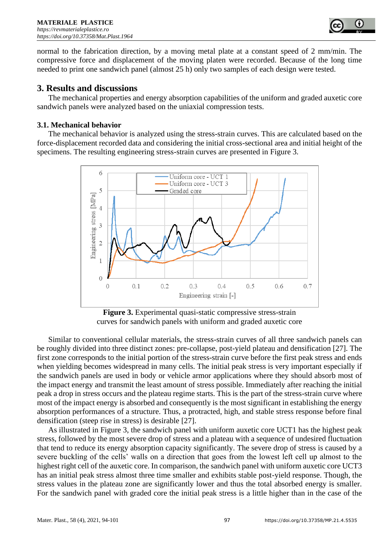

normal to the fabrication direction, by a moving metal plate at a constant speed of 2 mm/min. The compressive force and displacement of the moving platen were recorded. Because of the long time needed to print one sandwich panel (almost 25 h) only two samples of each design were tested.

## **3. Results and discussions**

The mechanical properties and energy absorption capabilities of the uniform and graded auxetic core sandwich panels were analyzed based on the uniaxial compression tests.

#### **3.1. Mechanical behavior**

The mechanical behavior is analyzed using the stress-strain curves. This are calculated based on the force-displacement recorded data and considering the initial cross-sectional area and initial height of the specimens. The resulting engineering stress-strain curves are presented in Figure 3.



Figure 3. Experimental quasi-static compressive stress-strain curves for sandwich panels with uniform and graded auxetic core

Similar to conventional cellular materials, the stress-strain curves of all three sandwich panels can be roughly divided into three distinct zones: pre-collapse, post-yield plateau and densification [27]. The first zone corresponds to the initial portion of the stress-strain curve before the first peak stress and ends when yielding becomes widespread in many cells. The initial peak stress is very important especially if the sandwich panels are used in body or vehicle armor applications where they should absorb most of the impact energy and transmit the least amount of stress possible. Immediately after reaching the initial peak a drop in stress occurs and the plateau regime starts. This is the part of the stress-strain curve where most of the impact energy is absorbed and consequently is the most significant in establishing the energy absorption performances of a structure. Thus, a protracted, high, and stable stress response before final densification (steep rise in stress) is desirable [27].

As illustrated in Figure 3, the sandwich panel with uniform auxetic core UCT1 has the highest peak stress, followed by the most severe drop of stress and a plateau with a sequence of undesired fluctuation that tend to reduce its energy absorption capacity significantly. The severe drop of stress is caused by a severe buckling of the cells' walls on a direction that goes from the lowest left cell up almost to the highest right cell of the auxetic core. In comparison, the sandwich panel with uniform auxetic core UCT3 has an initial peak stress almost three time smaller and exhibits stable post-yield response. Though, the stress values in the plateau zone are significantly lower and thus the total absorbed energy is smaller. For the sandwich panel with graded core the initial peak stress is a little higher than in the case of the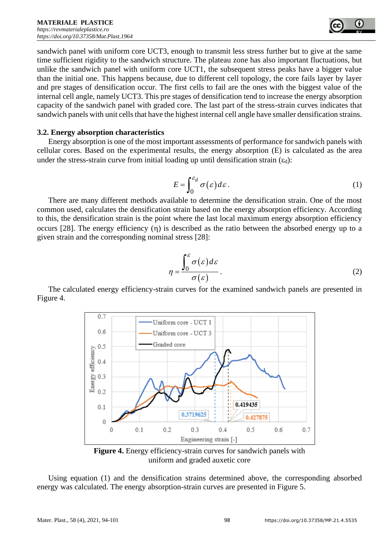

sandwich panel with uniform core UCT3, enough to transmit less stress further but to give at the same time sufficient rigidity to the sandwich structure. The plateau zone has also important fluctuations, but unlike the sandwich panel with uniform core UCT1, the subsequent stress peaks have a bigger value than the initial one. This happens because, due to different cell topology, the core fails layer by layer and pre stages of densification occur. The first cells to fail are the ones with the biggest value of the internal cell angle, namely UCT3. This pre stages of densification tend to increase the energy absorption capacity of the sandwich panel with graded core. The last part of the stress-strain curves indicates that sandwich panels with unit cells that have the highest internal cell angle have smaller densification strains.

#### **3.2. Energy absorption characteristics**

Energy absorption is one of the most important assessments of performance for sandwich panels with cellular cores. Based on the experimental results, the energy absorption (E) is calculated as the area under the stress-strain curve from initial loading up until densification strain  $(\epsilon_d)$ :

$$
E = \int_0^{\varepsilon_d} \sigma(\varepsilon) d\varepsilon. \tag{1}
$$

There are many different methods available to determine the densification strain. One of the most common used, calculates the densification strain based on the energy absorption efficiency. According to this, the densification strain is the point where the last local maximum energy absorption efficiency occurs [28]. The energy efficiency  $(\eta)$  is described as the ratio between the absorbed energy up to a given strain and the corresponding nominal stress [28]:

$$
\eta = \frac{\int_0^{\varepsilon} \sigma(\varepsilon) d\varepsilon}{\sigma(\varepsilon)}.
$$
\n(2)

The calculated energy efficiency-strain curves for the examined sandwich panels are presented in Figure 4.



**Figure 4.** Energy efficiency-strain curves for sandwich panels with uniform and graded auxetic core

Using equation (1) and the densification strains determined above, the corresponding absorbed energy was calculated. The energy absorption-strain curves are presented in Figure 5.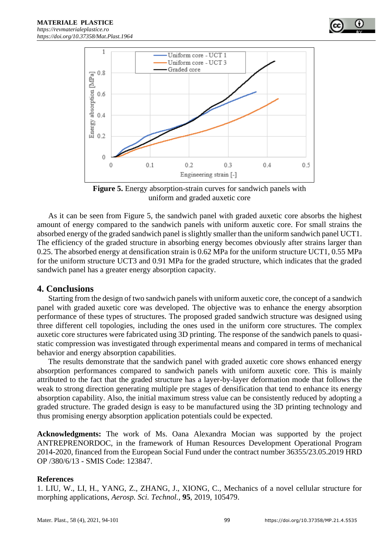

**Figure 5.** Energy absorption-strain curves for sandwich panels with uniform and graded auxetic core

As it can be seen from Figure 5, the sandwich panel with graded auxetic core absorbs the highest amount of energy compared to the sandwich panels with uniform auxetic core. For small strains the absorbed energy of the graded sandwich panel is slightly smaller than the uniform sandwich panel UCT1. The efficiency of the graded structure in absorbing energy becomes obviously after strains larger than 0.25. The absorbed energy at densification strain is 0.62 MPa for the uniform structure UCT1, 0.55 MPa for the uniform structure UCT3 and 0.91 MPa for the graded structure, which indicates that the graded sandwich panel has a greater energy absorption capacity.

## **4. Conclusions**

Starting from the design of two sandwich panels with uniform auxetic core, the concept of a sandwich panel with graded auxetic core was developed. The objective was to enhance the energy absorption performance of these types of structures. The proposed graded sandwich structure was designed using three different cell topologies, including the ones used in the uniform core structures. The complex auxetic core structures were fabricated using 3D printing. The response of the sandwich panels to quasistatic compression was investigated through experimental means and compared in terms of mechanical behavior and energy absorption capabilities.

The results demonstrate that the sandwich panel with graded auxetic core shows enhanced energy absorption performances compared to sandwich panels with uniform auxetic core. This is mainly attributed to the fact that the graded structure has a layer-by-layer deformation mode that follows the weak to strong direction generating multiple pre stages of densification that tend to enhance its energy absorption capability. Also, the initial maximum stress value can be consistently reduced by adopting a graded structure. The graded design is easy to be manufactured using the 3D printing technology and thus promising energy absorption application potentials could be expected.

**Acknowledgments:** The work of Ms. Oana Alexandra Mocian was supported by the project ANTREPRENORDOC, in the framework of Human Resources Development Operational Program 2014-2020, financed from the European Social Fund under the contract number 36355/23.05.2019 HRD OP /380/6/13 - SMIS Code: 123847.

#### **References**

1. LIU, W., LI, H., YANG, Z., ZHANG, J., XIONG, C., Mechanics of a novel cellular structure for morphing applications, *Aerosp. Sci. Technol.,* **95**, 2019, 105479.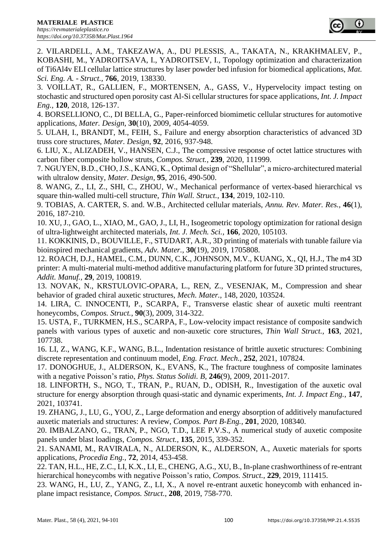

2. VILARDELL, A.M., TAKEZAWA, A., DU PLESSIS, A., TAKATA, N., KRAKHMALEV, P., KOBASHI, M., YADROITSAVA, I., YADROITSEV, I., Topology optimization and characterization of Ti6Al4v ELI cellular lattice structures by laser powder bed infusion for biomedical applications, *Mat. Sci. Eng. A. - Struct.,* **766**, 2019, 138330.

3. VOILLAT, R., GALLIEN, F., MORTENSEN, A., GASS, V., Hypervelocity impact testing on stochastic and structured open porosity cast Al-Si cellular structures for space applications, *Int. J. Impact Eng.,* **120**, 2018, 126-137.

4. BORSELLIONO, C., DI BELLA, G., Paper-reinforced biomimetic cellular structures for automotive applications, *Mater. Design*, **30**(10), 2009, 4054-4059.

5. ULAH, I., BRANDT, M., FEIH, S., Failure and energy absorption characteristics of advanced 3D truss core structures, *Mater. Design*, **92**, 2016, 937-948.

6. LIU, X., ALIZADEH, V., HANSEN, C.J., The compressive response of octet lattice structures with carbon fiber composite hollow struts, *Compos. Struct.,* **239**, 2020, 111999.

7. NGUYEN, B.D., CHO, J.S., KANG, K., Optimal design of "Shellular", a micro-architectured material with ultralow density, *Mater. Design*, **95**, 2016, 490-500.

8. WANG, Z., LI, Z., SHI, C., ZHOU, W., Mechanical performance of vertex-based hierarchical vs square thin-walled multi-cell structure, *Thin Wall. Struct.*, **134**, 2019, 102-110.

9. TOBIAS, A. CARTER, S. and. W.B., Architected cellular materials, *Annu. Rev. Mater. Res.,* **46**(1), 2016, 187-210.

10. XU, J., GAO, L., XIAO, M., GAO, J., LI, H., Isogeometric topology optimization for rational design of ultra-lightweight architected materials, *Int. J. Mech. Sci.,* **166**, 2020, 105103.

11. KOKKINIS, D., BOUVILLE, F., STUDART, A.R., 3D printing of materials with tunable failure via bioinspired mechanical gradients, *Adv. Mater.,* **30**(19), 2019, 1705808.

12. ROACH, D.J., HAMEL, C.M., DUNN, C.K., JOHNSON, M.V., KUANG, X., QI, H.J., The m4 3D printer: A multi-material multi-method additive manufacturing platform for future 3D printed structures, *Addit. Manuf.,* **29**, 2019, 100819.

13. NOVAK, N., KRSTULOVIC-OPARA, L., REN, Z., VESENJAK, M., Compression and shear behavior of graded chiral auxetic structures, *Mech. Mater.,* 148, 2020, 103524.

14. LIRA, C. INNOCENTI, P., SCARPA, F., Transverse elastic shear of auxetic multi reentrant honeycombs, *Compos. Struct.*, **90**(3), 2009, 314-322.

15. USTA, F., TURKMEN, H.S., SCARPA, F., Low-velocity impact resistance of composite sandwich panels with various types of auxetic and non-auxetic core structures, *Thin Wall Struct.,* **163**, 2021, 107738.

16. LI, Z., WANG, K.F., WANG, B.L., Indentation resistance of brittle auxetic structures: Combining discrete representation and continuum model, *Eng. Fract. Mech.*, **252**, 2021, 107824.

17. DONOGHUE, J., ALDERSON, K., EVANS, K., The fracture toughness of composite laminates with a negative Poisson's ratio, *Phys. Status Solidi. B,* **246**(9), 2009, 2011-2017.

18. LINFORTH, S., NGO, T., TRAN, P., RUAN, D., ODISH, R., Investigation of the auxetic oval structure for energy absorption through quasi-static and dynamic experiments, *Int. J. Impact Eng.*, **147**, 2021, 103741.

19. ZHANG, J., LU, G., YOU, Z., Large deformation and energy absorption of additively manufactured auxetic materials and structures: A review, *Compos. Part B-Eng.,* **201**, 2020, 108340.

20. IMBALZANO, G., TRAN, P., NGO, T.D., LEE P.V.S., A numerical study of auxetic composite panels under blast loadings, *Compos. Struct.,* **135**, 2015, 339-352.

21. SANAMI, M., RAVIRALA, N., ALDERSON, K., ALDERSON, A., Auxetic materials for sports applications, *Procedia Eng.,* **72**, 2014, 453-458.

22. TAN, H.L., HE, Z.C., LI, K.X., LI, E., CHENG, A.G., XU, B., In-plane crashworthiness of re-entrant hierarchical honeycombs with negative Poisson's ratio, *Compos. Struct.*, **229**, 2019, 111415.

23. WANG, H., LU, Z., YANG, Z., LI, X., A novel re-entrant auxetic honeycomb with enhanced inplane impact resistance, *Compos. Struct.*, **208**, 2019, 758-770.